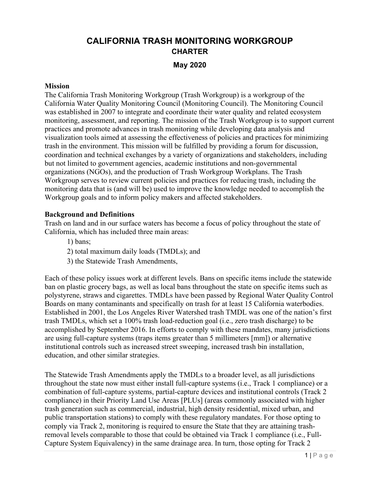# **CALIFORNIA TRASH MONITORING WORKGROUP CHARTER**

**May 2020**

#### **Mission**

The California Trash Monitoring Workgroup (Trash Workgroup) is a workgroup of the California Water Quality Monitoring Council (Monitoring Council). The Monitoring Council was established in 2007 to integrate and coordinate their water quality and related ecosystem monitoring, assessment, and reporting. The mission of the Trash Workgroup is to support current practices and promote advances in trash monitoring while developing data analysis and visualization tools aimed at assessing the effectiveness of policies and practices for minimizing trash in the environment. This mission will be fulfilled by providing a forum for discussion, coordination and technical exchanges by a variety of organizations and stakeholders, including but not limited to government agencies, academic institutions and non-governmental organizations (NGOs), and the production of Trash Workgroup Workplans. The Trash Workgroup serves to review current policies and practices for reducing trash, including the monitoring data that is (and will be) used to improve the knowledge needed to accomplish the Workgroup goals and to inform policy makers and affected stakeholders.

#### **Background and Definitions**

Trash on land and in our surface waters has become a focus of policy throughout the state of California, which has included three main areas:

- 1) bans;
- 2) total maximum daily loads (TMDLs); and
- 3) the Statewide Trash Amendments,

Each of these policy issues work at different levels. Bans on specific items include the statewide ban on plastic grocery bags, as well as local bans throughout the state on specific items such as polystyrene, straws and cigarettes. TMDLs have been passed by Regional Water Quality Control Boards on many contaminants and specifically on trash for at least 15 California waterbodies. Established in 2001, the Los Angeles River Watershed trash TMDL was one of the nation's first trash TMDLs, which set a 100% trash load-reduction goal (i.e., zero trash discharge) to be accomplished by September 2016. In efforts to comply with these mandates, many jurisdictions are using full-capture systems (traps items greater than 5 millimeters [mm]) or alternative institutional controls such as increased street sweeping, increased trash bin installation, education, and other similar strategies.

The Statewide Trash Amendments apply the TMDLs to a broader level, as all jurisdictions throughout the state now must either install full-capture systems (i.e., Track 1 compliance) or a combination of full-capture systems, partial-capture devices and institutional controls (Track 2 compliance) in their Priority Land Use Areas [PLUs] (areas commonly associated with higher trash generation such as commercial, industrial, high density residential, mixed urban, and public transportation stations) to comply with these regulatory mandates. For those opting to comply via Track 2, monitoring is required to ensure the State that they are attaining trashremoval levels comparable to those that could be obtained via Track 1 compliance (i.e., Full-Capture System Equivalency) in the same drainage area. In turn, those opting for Track 2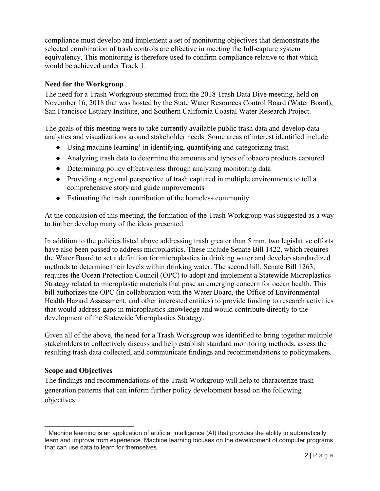compliance must develop and implement a set of monitoring objectives that demonstrate the selected combination of trash controls are effective in meeting the full-capture system equivalency. This monitoring is therefore used to confirm compliance relative to that which would be achieved under Track 1.

# **Need for the Workgroup**

The need for a Trash Workgroup stemmed from the 2018 Trash Data Dive meeting, held on November 16, 2018 that was hosted by the State Water Resources Control Board (Water Board), San Francisco Estuary Institute, and Southern California Coastal Water Research Project.

The goals of this meeting were to take currently available public trash data and develop data analytics and visualizations around stakeholder needs. Some areas of interest identified include:

- Using machine learning<sup>[1](#page-1-0)</sup> in identifying, quantifying and categorizing trash
- Analyzing trash data to determine the amounts and types of tobacco products captured
- Determining policy effectiveness through analyzing monitoring data
- Providing a regional perspective of trash captured in multiple environments to tell a comprehensive story and guide improvements
- Estimating the trash contribution of the homeless community

At the conclusion of this meeting, the formation of the Trash Workgroup was suggested as a way to further develop many of the ideas presented.

In addition to the policies listed above addressing trash greater than 5 mm, two legislative efforts have also been passed to address microplastics. These include Senate Bill 1422, which requires the Water Board to set a definition for microplastics in drinking water and develop standardized methods to determine their levels within drinking water. The second bill, Senate Bill 1263, requires the Ocean Protection Council (OPC) to adopt and implement a Statewide Microplastics Strategy related to microplastic materials that pose an emerging concern for ocean health. This bill authorizes the OPC (in collaboration with the Water Board, the Office of Environmental Health Hazard Assessment, and other interested entities) to provide funding to research activities that would address gaps in microplastics knowledge and would contribute directly to the development of the Statewide Microplastics Strategy.

Given all of the above, the need for a Trash Workgroup was identified to bring together multiple stakeholders to collectively discuss and help establish standard monitoring methods, assess the resulting trash data collected, and communicate findings and recommendations to policymakers.

# **Scope and Objectives**

The findings and recommendations of the Trash Workgroup will help to characterize trash generation patterns that can inform further policy development based on the following objectives:

<span id="page-1-0"></span><sup>1</sup> Machine learning is an application of artificial intelligence (AI) that provides the ability to automatically learn and improve from experience. Machine learning focuses on the development of computer programs that can use data to learn for themselves.